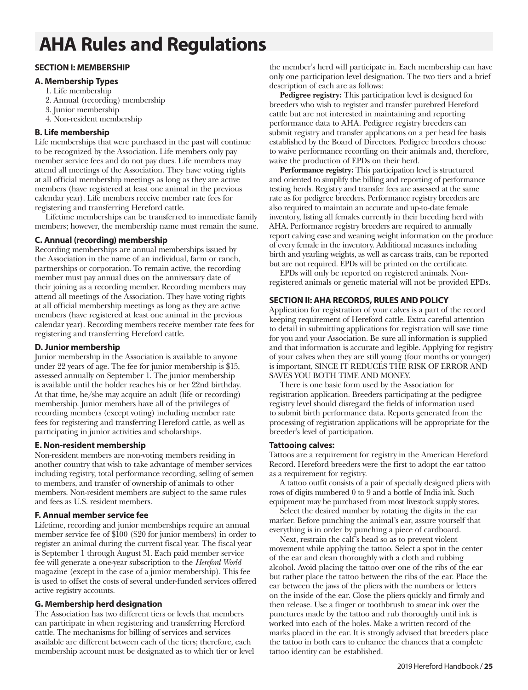# **AHA Rules and Regulations**

# **SECTION I: MEMBERSHIP**

## **A. Membership Types**

- 1. Life membership
- 2. Annual (recording) membership
- 3. Junior membership
- 4. Non-resident membership

# **B. Life membership**

Life memberships that were purchased in the past will continue to be recognized by the Association. Life members only pay member service fees and do not pay dues. Life members may attend all meetings of the Association. They have voting rights at all official membership meetings as long as they are active members (have registered at least one animal in the previous calendar year). Life members receive member rate fees for registering and transferring Hereford cattle.

Lifetime memberships can be transferred to immediate family members; however, the membership name must remain the same.

# **C. Annual (recording) membership**

Recording memberships are annual memberships issued by the Association in the name of an individual, farm or ranch, partnerships or corporation. To remain active, the recording member must pay annual dues on the anniversary date of their joining as a recording member. Recording members may attend all meetings of the Association. They have voting rights at all official membership meetings as long as they are active members (have registered at least one animal in the previous calendar year). Recording members receive member rate fees for registering and transferring Hereford cattle.

# **D. Junior membership**

Junior membership in the Association is available to anyone under 22 years of age. The fee for junior membership is \$15, assessed annually on September 1. The junior membership is available until the holder reaches his or her 22nd birthday. At that time, he/she may acquire an adult (life or recording) membership. Junior members have all of the privileges of recording members (except voting) including member rate fees for registering and transferring Hereford cattle, as well as participating in junior activities and scholarships.

# **E. Non-resident membership**

Non-resident members are non-voting members residing in another country that wish to take advantage of member services including registry, total performance recording, selling of semen to members, and transfer of ownership of animals to other members. Non-resident members are subject to the same rules and fees as U.S. resident members.

# **F. Annual member service fee**

Lifetime, recording and junior memberships require an annual member service fee of \$100 (\$20 for junior members) in order to register an animal during the current fiscal year. The fiscal year is September 1 through August 31. Each paid member service fee will generate a one-year subscription to the *Hereford World* magazine (except in the case of a junior membership). This fee is used to offset the costs of several under-funded services offered active registry accounts.

# **G. Membership herd designation**

The Association has two different tiers or levels that members can participate in when registering and transferring Hereford cattle. The mechanisms for billing of services and services available are different between each of the tiers; therefore, each membership account must be designated as to which tier or level the member's herd will participate in. Each membership can have only one participation level designation. The two tiers and a brief description of each are as follows:

**Pedigree registry:** This participation level is designed for breeders who wish to register and transfer purebred Hereford cattle but are not interested in maintaining and reporting performance data to AHA. Pedigree registry breeders can submit registry and transfer applications on a per head fee basis established by the Board of Directors. Pedigree breeders choose to waive performance recording on their animals and, therefore, waive the production of EPDs on their herd.

**Performance registry:** This participation level is structured and oriented to simplify the billing and reporting of performance testing herds. Registry and transfer fees are assessed at the same rate as for pedigree breeders. Performance registry breeders are also required to maintain an accurate and up-to-date female inventory, listing all females currently in their breeding herd with AHA. Performance registry breeders are required to annually report calving ease and weaning weight information on the produce of every female in the inventory. Additional measures including birth and yearling weights, as well as carcass traits, can be reported but are not required. EPDs will be printed on the certificate.

EPDs will only be reported on registered animals. Nonregistered animals or genetic material will not be provided EPDs.

# **SECTION II: AHA RECORDS, RULES AND POLICY**

Application for registration of your calves is a part of the record keeping requirement of Hereford cattle. Extra careful attention to detail in submitting applications for registration will save time for you and your Association. Be sure all information is supplied and that information is accurate and legible. Applying for registry of your calves when they are still young (four months or younger) is important, SINCE IT REDUCES THE RISK OF ERROR AND SAVES YOU BOTH TIME AND MONEY.

There is one basic form used by the Association for registration application. Breeders participating at the pedigree registry level should disregard the fields of information used to submit birth performance data. Reports generated from the processing of registration applications will be appropriate for the breeder's level of participation.

# **Tattooing calves:**

Tattoos are a requirement for registry in the American Hereford Record. Hereford breeders were the first to adopt the ear tattoo as a requirement for registry.

A tattoo outfit consists of a pair of specially designed pliers with rows of digits numbered 0 to 9 and a bottle of India ink. Such equipment may be purchased from most livestock supply stores.

Select the desired number by rotating the digits in the ear marker. Before punching the animal's ear, assure yourself that everything is in order by punching a piece of cardboard.

Next, restrain the calf's head so as to prevent violent movement while applying the tattoo. Select a spot in the center of the ear and clean thoroughly with a cloth and rubbing alcohol. Avoid placing the tattoo over one of the ribs of the ear but rather place the tattoo between the ribs of the ear. Place the ear between the jaws of the pliers with the numbers or letters on the inside of the ear. Close the pliers quickly and firmly and then release. Use a finger or toothbrush to smear ink over the punctures made by the tattoo and rub thoroughly until ink is worked into each of the holes. Make a written record of the marks placed in the ear. It is strongly advised that breeders place the tattoo in both ears to enhance the chances that a complete tattoo identity can be established.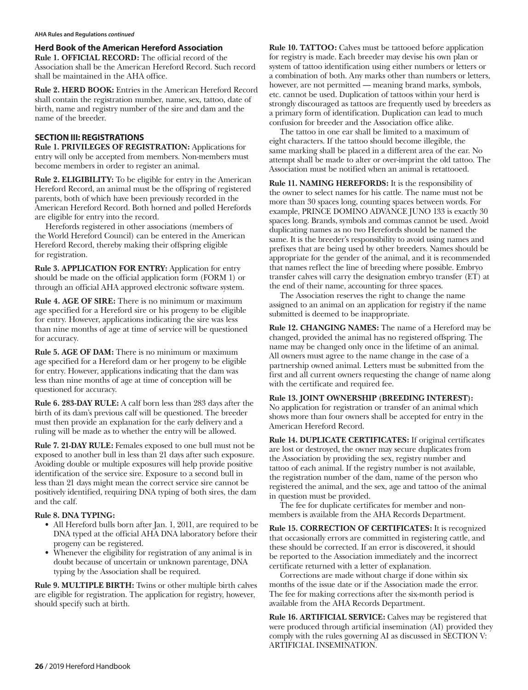**Herd Book of the American Hereford Association**

**Rule 1. OFFICIAL RECORD:** The official record of the Association shall be the American Hereford Record. Such record shall be maintained in the AHA office.

**Rule 2. HERD BOOK:** Entries in the American Hereford Record shall contain the registration number, name, sex, tattoo, date of birth, name and registry number of the sire and dam and the name of the breeder.

#### **SECTION III: REGISTRATIONS**

**Rule 1. PRIVILEGES OF REGISTRATION:** Applications for entry will only be accepted from members. Non-members must become members in order to register an animal.

**Rule 2. ELIGIBILITY:** To be eligible for entry in the American Hereford Record, an animal must be the offspring of registered parents, both of which have been previously recorded in the American Hereford Record. Both horned and polled Herefords are eligible for entry into the record.

Herefords registered in other associations (members of the World Hereford Council) can be entered in the American Hereford Record, thereby making their offspring eligible for registration.

**Rule 3. APPLICATION FOR ENTRY:** Application for entry should be made on the official application form (FORM 1) or through an official AHA approved electronic software system.

**Rule 4. AGE OF SIRE:** There is no minimum or maximum age specified for a Hereford sire or his progeny to be eligible for entry. However, applications indicating the sire was less than nine months of age at time of service will be questioned for accuracy.

**Rule 5. AGE OF DAM:** There is no minimum or maximum age specified for a Hereford dam or her progeny to be eligible for entry. However, applications indicating that the dam was less than nine months of age at time of conception will be questioned for accuracy.

**Rule 6. 283-DAY RULE:** A calf born less than 283 days after the birth of its dam's previous calf will be questioned. The breeder must then provide an explanation for the early delivery and a ruling will be made as to whether the entry will be allowed.

**Rule 7. 21-DAY RULE:** Females exposed to one bull must not be exposed to another bull in less than 21 days after such exposure. Avoiding double or multiple exposures will help provide positive identification of the service sire. Exposure to a second bull in less than 21 days might mean the correct service sire cannot be positively identified, requiring DNA typing of both sires, the dam and the calf.

#### **Rule 8. DNA TYPING:**

- **•** All Hereford bulls born after Jan. 1, 2011, are required to be DNA typed at the official AHA DNA laboratory before their progeny can be registered.
- **•** Whenever the eligibility for registration of any animal is in doubt because of uncertain or unknown parentage, DNA typing by the Association shall be required.

**Rule 9. MULTIPLE BIRTH:** Twins or other multiple birth calves are eligible for registration. The application for registry, however, should specify such at birth.

**Rule 10. TATTOO:** Calves must be tattooed before application for registry is made. Each breeder may devise his own plan or system of tattoo identification using either numbers or letters or a combination of both. Any marks other than numbers or letters, however, are not permitted — meaning brand marks, symbols, etc. cannot be used. Duplication of tattoos within your herd is strongly discouraged as tattoos are frequently used by breeders as a primary form of identification. Duplication can lead to much confusion for breeder and the Association office alike.

The tattoo in one ear shall be limited to a maximum of eight characters. If the tattoo should become illegible, the same marking shall be placed in a different area of the ear. No attempt shall be made to alter or over-imprint the old tattoo. The Association must be notified when an animal is retattooed.

**Rule 11. NAMING HEREFORDS:** It is the responsibility of the owner to select names for his cattle. The name must not be more than 30 spaces long, counting spaces between words. For example, PRINCE DOMINO ADVANCE JUNO 133 is exactly 30 spaces long. Brands, symbols and commas cannot be used. Avoid duplicating names as no two Herefords should be named the same. It is the breeder's responsibility to avoid using names and prefixes that are being used by other breeders. Names should be appropriate for the gender of the animal, and it is recommended that names reflect the line of breeding where possible. Embryo transfer calves will carry the designation embryo transfer (ET) at the end of their name, accounting for three spaces.

The Association reserves the right to change the name assigned to an animal on an application for registry if the name submitted is deemed to be inappropriate.

**Rule 12. CHANGING NAMES:** The name of a Hereford may be changed, provided the animal has no registered offspring. The name may be changed only once in the lifetime of an animal. All owners must agree to the name change in the case of a partnership owned animal. Letters must be submitted from the first and all current owners requesting the change of name along with the certificate and required fee.

# **Rule 13. JOINT OWNERSHIP (BREEDING INTEREST):**

No application for registration or transfer of an animal which shows more than four owners shall be accepted for entry in the American Hereford Record.

**Rule 14. DUPLICATE CERTIFICATES:** If original certificates are lost or destroyed, the owner may secure duplicates from the Association by providing the sex, registry number and tattoo of each animal. If the registry number is not available, the registration number of the dam, name of the person who registered the animal, and the sex, age and tattoo of the animal in question must be provided.

The fee for duplicate certificates for member and nonmembers is available from the AHA Records Department.

**Rule 15. CORRECTION OF CERTIFICATES:** It is recognized that occasionally errors are committed in registering cattle, and these should be corrected. If an error is discovered, it should be reported to the Association immediately and the incorrect certificate returned with a letter of explanation.

Corrections are made without charge if done within six months of the issue date or if the Association made the error. The fee for making corrections after the six-month period is available from the AHA Records Department.

**Rule 16. ARTIFICIAL SERVICE:** Calves may be registered that were produced through artificial insemination (AI) provided they comply with the rules governing AI as discussed in SECTION V: ARTIFICIAL INSEMINATION.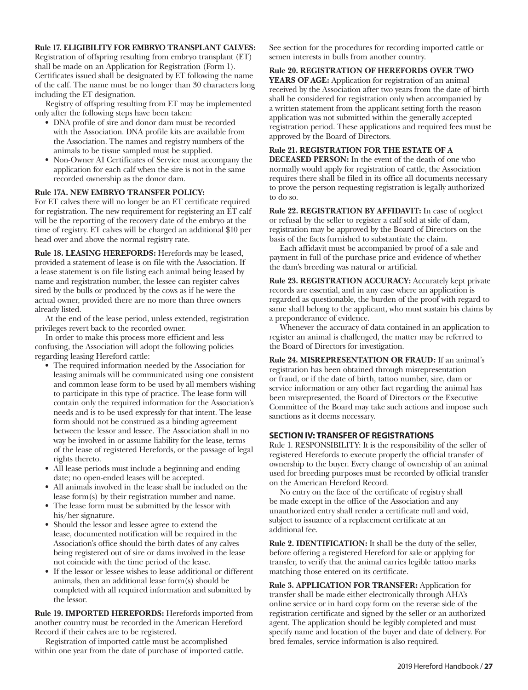#### **Rule 17. ELIGIBILITY FOR EMBRYO TRANSPLANT CALVES:**

Registration of offspring resulting from embryo transplant (ET) shall be made on an Application for Registration (Form 1). Certificates issued shall be designated by ET following the name of the calf. The name must be no longer than 30 characters long including the ET designation.

Registry of offspring resulting from ET may be implemented only after the following steps have been taken:

- **•** DNA profile of sire and donor dam must be recorded with the Association. DNA profile kits are available from the Association. The names and registry numbers of the animals to be tissue sampled must be supplied.
- **•** Non-Owner AI Certificates of Service must accompany the application for each calf when the sire is not in the same recorded ownership as the donor dam.

#### **Rule 17A. NEW EMBRYO TRANSFER POLICY:**

For ET calves there will no longer be an ET certificate required for registration. The new requirement for registering an ET calf will be the reporting of the recovery date of the embryo at the time of registry. ET calves will be charged an additional \$10 per head over and above the normal registry rate.

**Rule 18. LEASING HEREFORDS:** Herefords may be leased, provided a statement of lease is on file with the Association. If a lease statement is on file listing each animal being leased by name and registration number, the lessee can register calves sired by the bulls or produced by the cows as if he were the actual owner, provided there are no more than three owners already listed.

At the end of the lease period, unless extended, registration privileges revert back to the recorded owner.

In order to make this process more efficient and less confusing, the Association will adopt the following policies regarding leasing Hereford cattle:

- **•** The required information needed by the Association for leasing animals will be communicated using one consistent and common lease form to be used by all members wishing to participate in this type of practice. The lease form will contain only the required information for the Association's needs and is to be used expressly for that intent. The lease form should not be construed as a binding agreement between the lessor and lessee. The Association shall in no way be involved in or assume liability for the lease, terms of the lease of registered Herefords, or the passage of legal rights thereto.
- **•** All lease periods must include a beginning and ending date; no open-ended leases will be accepted.
- **•** All animals involved in the lease shall be included on the lease form(s) by their registration number and name.
- **•** The lease form must be submitted by the lessor with his/her signature.
- **•** Should the lessor and lessee agree to extend the lease, documented notification will be required in the Association's office should the birth dates of any calves being registered out of sire or dams involved in the lease not coincide with the time period of the lease.
- **•** If the lessor or lessee wishes to lease additional or different animals, then an additional lease form(s) should be completed with all required information and submitted by the lessor.

**Rule 19. IMPORTED HEREFORDS:** Herefords imported from another country must be recorded in the American Hereford Record if their calves are to be registered.

Registration of imported cattle must be accomplished within one year from the date of purchase of imported cattle. See section for the procedures for recording imported cattle or semen interests in bulls from another country.

#### **Rule 20. REGISTRATION OF HEREFORDS OVER TWO**

**YEARS OF AGE:** Application for registration of an animal received by the Association after two years from the date of birth shall be considered for registration only when accompanied by a written statement from the applicant setting forth the reason application was not submitted within the generally accepted registration period. These applications and required fees must be approved by the Board of Directors.

# **Rule 21. REGISTRATION FOR THE ESTATE OF A**

**DECEASED PERSON:** In the event of the death of one who normally would apply for registration of cattle, the Association requires there shall be filed in its office all documents necessary to prove the person requesting registration is legally authorized to do so.

**Rule 22. REGISTRATION BY AFFIDAVIT:** In case of neglect or refusal by the seller to register a calf sold at side of dam, registration may be approved by the Board of Directors on the basis of the facts furnished to substantiate the claim.

Each affidavit must be accompanied by proof of a sale and payment in full of the purchase price and evidence of whether the dam's breeding was natural or artificial.

**Rule 23. REGISTRATION ACCURACY:** Accurately kept private records are essential, and in any case where an application is regarded as questionable, the burden of the proof with regard to same shall belong to the applicant, who must sustain his claims by a preponderance of evidence.

Whenever the accuracy of data contained in an application to register an animal is challenged, the matter may be referred to the Board of Directors for investigation.

**Rule 24. MISREPRESENTATION OR FRAUD:** If an animal's registration has been obtained through misrepresentation or fraud, or if the date of birth, tattoo number, sire, dam or service information or any other fact regarding the animal has been misrepresented, the Board of Directors or the Executive Committee of the Board may take such actions and impose such sanctions as it deems necessary.

#### **SECTION IV: TRANSFER OF REGISTRATIONS**

Rule 1. RESPONSIBILITY: It is the responsibility of the seller of registered Herefords to execute properly the official transfer of ownership to the buyer. Every change of ownership of an animal used for breeding purposes must be recorded by official transfer on the American Hereford Record.

No entry on the face of the certificate of registry shall be made except in the office of the Association and any unauthorized entry shall render a certificate null and void, subject to issuance of a replacement certificate at an additional fee.

**Rule 2. IDENTIFICATION:** It shall be the duty of the seller, before offering a registered Hereford for sale or applying for transfer, to verify that the animal carries legible tattoo marks matching those entered on its certificate.

**Rule 3. APPLICATION FOR TRANSFER:** Application for transfer shall be made either electronically through AHA's online service or in hard copy form on the reverse side of the registration certificate and signed by the seller or an authorized agent. The application should be legibly completed and must specify name and location of the buyer and date of delivery. For bred females, service information is also required.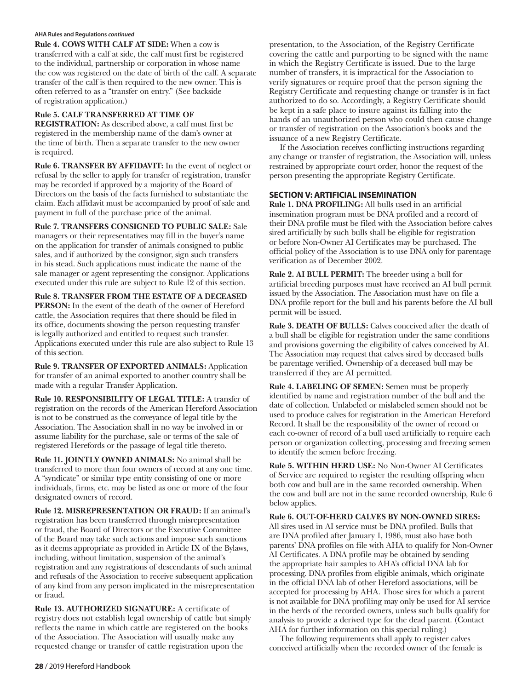#### **AHA Rules and Regulations** *continued*

**Rule 4. COWS WITH CALF AT SIDE:** When a cow is transferred with a calf at side, the calf must first be registered to the individual, partnership or corporation in whose name the cow was registered on the date of birth of the calf. A separate transfer of the calf is then required to the new owner. This is often referred to as a "transfer on entry." (See backside of registration application.)

## **Rule 5. CALF TRANSFERRED AT TIME OF**

**REGISTRATION:** As described above, a calf must first be registered in the membership name of the dam's owner at the time of birth. Then a separate transfer to the new owner is required.

**Rule 6. TRANSFER BY AFFIDAVIT:** In the event of neglect or refusal by the seller to apply for transfer of registration, transfer may be recorded if approved by a majority of the Board of Directors on the basis of the facts furnished to substantiate the claim. Each affidavit must be accompanied by proof of sale and payment in full of the purchase price of the animal.

**Rule 7. TRANSFERS CONSIGNED TO PUBLIC SALE:** Sale managers or their representatives may fill in the buyer's name on the application for transfer of animals consigned to public sales, and if authorized by the consignor, sign such transfers in his stead. Such applications must indicate the name of the sale manager or agent representing the consignor. Applications executed under this rule are subject to Rule 12 of this section.

**Rule 8. TRANSFER FROM THE ESTATE OF A DECEASED PERSON:** In the event of the death of the owner of Hereford cattle, the Association requires that there should be filed in its office, documents showing the person requesting transfer is legally authorized and entitled to request such transfer. Applications executed under this rule are also subject to Rule 13 of this section.

**Rule 9. TRANSFER OF EXPORTED ANIMALS:** Application for transfer of an animal exported to another country shall be made with a regular Transfer Application.

**Rule 10. RESPONSIBILITY OF LEGAL TITLE:** A transfer of registration on the records of the American Hereford Association is not to be construed as the conveyance of legal title by the Association. The Association shall in no way be involved in or assume liability for the purchase, sale or terms of the sale of registered Herefords or the passage of legal title thereto.

**Rule 11. JOINTLY OWNED ANIMALS:** No animal shall be transferred to more than four owners of record at any one time. A "syndicate" or similar type entity consisting of one or more individuals, firms, etc. may be listed as one or more of the four designated owners of record.

**Rule 12. MISREPRESENTATION OR FRAUD:** If an animal's registration has been transferred through misrepresentation or fraud, the Board of Directors or the Executive Committee of the Board may take such actions and impose such sanctions as it deems appropriate as provided in Article IX of the Bylaws, including, without limitation, suspension of the animal's registration and any registrations of descendants of such animal and refusals of the Association to receive subsequent application of any kind from any person implicated in the misrepresentation or fraud.

**Rule 13. AUTHORIZED SIGNATURE:** A certificate of registry does not establish legal ownership of cattle but simply reflects the name in which cattle are registered on the books of the Association. The Association will usually make any requested change or transfer of cattle registration upon the

presentation, to the Association, of the Registry Certificate covering the cattle and purporting to be signed with the name in which the Registry Certificate is issued. Due to the large number of transfers, it is impractical for the Association to verify signatures or require proof that the person signing the Registry Certificate and requesting change or transfer is in fact authorized to do so. Accordingly, a Registry Certificate should be kept in a safe place to insure against its falling into the hands of an unauthorized person who could then cause change or transfer of registration on the Association's books and the issuance of a new Registry Certificate.

If the Association receives conflicting instructions regarding any change or transfer of registration, the Association will, unless restrained by appropriate court order, honor the request of the person presenting the appropriate Registry Certificate.

## **SECTION V: ARTIFICIAL INSEMINATION**

**Rule 1. DNA PROFILING:** All bulls used in an artificial insemination program must be DNA profiled and a record of their DNA profile must be filed with the Association before calves sired artificially by such bulls shall be eligible for registration or before Non-Owner AI Certificates may be purchased. The official policy of the Association is to use DNA only for parentage verification as of December 2002.

**Rule 2. AI BULL PERMIT:** The breeder using a bull for artificial breeding purposes must have received an AI bull permit issued by the Association. The Association must have on file a DNA profile report for the bull and his parents before the AI bull permit will be issued.

**Rule 3. DEATH OF BULLS:** Calves conceived after the death of a bull shall be eligible for registration under the same conditions and provisions governing the eligibility of calves conceived by AI. The Association may request that calves sired by deceased bulls be parentage verified. Ownership of a deceased bull may be transferred if they are AI permitted.

**Rule 4. LABELING OF SEMEN:** Semen must be properly identified by name and registration number of the bull and the date of collection. Unlabeled or mislabeled semen should not be used to produce calves for registration in the American Hereford Record. It shall be the responsibility of the owner of record or each co-owner of record of a bull used artificially to require each person or organization collecting, processing and freezing semen to identify the semen before freezing.

**Rule 5. WITHIN HERD USE:** No Non-Owner AI Certificates of Service are required to register the resulting offspring when both cow and bull are in the same recorded ownership. When the cow and bull are not in the same recorded ownership, Rule 6 below applies.

**Rule 6. OUT-OF-HERD CALVES BY NON-OWNED SIRES:** All sires used in AI service must be DNA profiled. Bulls that are DNA profiled after January 1, 1986, must also have both parents' DNA profiles on file with AHA to qualify for Non-Owner AI Certificates. A DNA profile may be obtained by sending the appropriate hair samples to AHA's official DNA lab for processing. DNA profiles from eligible animals, which originate in the official DNA lab of other Hereford associations, will be accepted for processing by AHA. Those sires for which a parent is not available for DNA profiling may only be used for AI service in the herds of the recorded owners, unless such bulls qualify for analysis to provide a derived type for the dead parent. (Contact AHA for further information on this special ruling.)

The following requirements shall apply to register calves conceived artificially when the recorded owner of the female is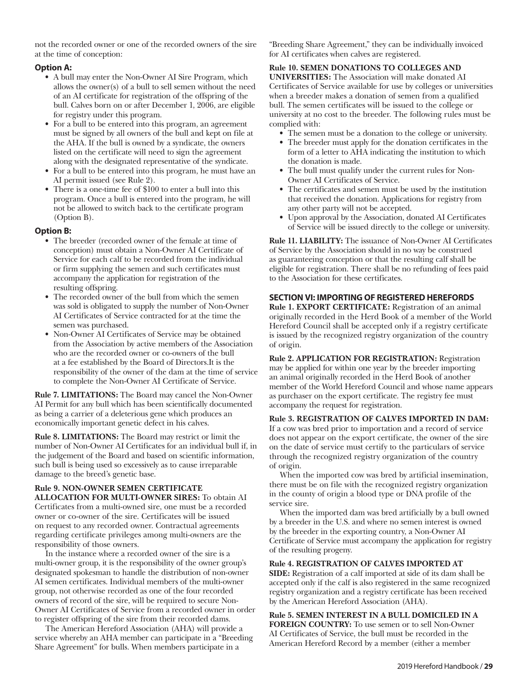not the recorded owner or one of the recorded owners of the sire at the time of conception:

## **Option A:**

- **•** A bull may enter the Non-Owner AI Sire Program, which allows the owner(s) of a bull to sell semen without the need of an AI certificate for registration of the offspring of the bull. Calves born on or after December 1, 2006, are eligible for registry under this program.
- **•** For a bull to be entered into this program, an agreement must be signed by all owners of the bull and kept on file at the AHA. If the bull is owned by a syndicate, the owners listed on the certificate will need to sign the agreement along with the designated representative of the syndicate.
- **•** For a bull to be entered into this program, he must have an AI permit issued (see Rule 2).
- **•** There is a one-time fee of \$100 to enter a bull into this program. Once a bull is entered into the program, he will not be allowed to switch back to the certificate program (Option B).

## **Option B:**

- **•** The breeder (recorded owner of the female at time of conception) must obtain a Non-Owner AI Certificate of Service for each calf to be recorded from the individual or firm supplying the semen and such certificates must accompany the application for registration of the resulting offspring.
- **•** The recorded owner of the bull from which the semen was sold is obligated to supply the number of Non-Owner AI Certificates of Service contracted for at the time the semen was purchased.
- **•** Non-Owner AI Certificates of Service may be obtained from the Association by active members of the Association who are the recorded owner or co-owners of the bull at a fee established by the Board of Directors.It is the responsibility of the owner of the dam at the time of service to complete the Non-Owner AI Certificate of Service.

**Rule 7. LIMITATIONS:** The Board may cancel the Non-Owner AI Permit for any bull which has been scientifically documented as being a carrier of a deleterious gene which produces an economically important genetic defect in his calves.

**Rule 8. LIMITATIONS:** The Board may restrict or limit the number of Non-Owner AI Certificates for an individual bull if, in the judgement of the Board and based on scientific information, such bull is being used so excessively as to cause irreparable damage to the breed's genetic base.

#### **Rule 9. NON-OWNER SEMEN CERTIFICATE ALLOCATION FOR MULTI-OWNER SIRES:** To obtain AI

Certificates from a multi-owned sire, one must be a recorded owner or co-owner of the sire. Certificates will be issued on request to any recorded owner. Contractual agreements regarding certificate privileges among multi-owners are the responsibility of those owners.

In the instance where a recorded owner of the sire is a multi-owner group, it is the responsibility of the owner group's designated spokesman to handle the distribution of non-owner AI semen certificates. Individual members of the multi-owner group, not otherwise recorded as one of the four recorded owners of record of the sire, will be required to secure Non-Owner AI Certificates of Service from a recorded owner in order to register offspring of the sire from their recorded dams.

The American Hereford Association (AHA) will provide a service whereby an AHA member can participate in a "Breeding Share Agreement" for bulls. When members participate in a

"Breeding Share Agreement," they can be individually invoiced for AI certificates when calves are registered.

#### **Rule 10. SEMEN DONATIONS TO COLLEGES AND**

**UNIVERSITIES:** The Association will make donated AI Certificates of Service available for use by colleges or universities when a breeder makes a donation of semen from a qualified bull. The semen certificates will be issued to the college or university at no cost to the breeder. The following rules must be complied with:

- **•** The semen must be a donation to the college or university.
- **•** The breeder must apply for the donation certificates in the form of a letter to AHA indicating the institution to which the donation is made.
- **•** The bull must qualify under the current rules for Non-Owner AI Certificates of Service.
- **•** The certificates and semen must be used by the institution that received the donation. Applications for registry from any other party will not be accepted.
- **•** Upon approval by the Association, donated AI Certificates of Service will be issued directly to the college or university.

**Rule 11. LIABILITY:** The issuance of Non-Owner AI Certificates of Service by the Association should in no way be construed as guaranteeing conception or that the resulting calf shall be eligible for registration. There shall be no refunding of fees paid to the Association for these certificates.

## **SECTION VI: IMPORTING OF REGISTERED HEREFORDS**

**Rule 1. EXPORT CERTIFICATE:** Registration of an animal originally recorded in the Herd Book of a member of the World Hereford Council shall be accepted only if a registry certificate is issued by the recognized registry organization of the country of origin.

**Rule 2. APPLICATION FOR REGISTRATION:** Registration may be applied for within one year by the breeder importing an animal originally recorded in the Herd Book of another member of the World Hereford Council and whose name appears as purchaser on the export certificate. The registry fee must accompany the request for registration.

#### **Rule 3. REGISTRATION OF CALVES IMPORTED IN DAM:**

If a cow was bred prior to importation and a record of service does not appear on the export certificate, the owner of the sire on the date of service must certify to the particulars of service through the recognized registry organization of the country of origin.

When the imported cow was bred by artificial insemination, there must be on file with the recognized registry organization in the county of origin a blood type or DNA profile of the service sire.

When the imported dam was bred artificially by a bull owned by a breeder in the U.S. and where no semen interest is owned by the breeder in the exporting country, a Non-Owner AI Certificate of Service must accompany the application for registry of the resulting progeny.

#### **Rule 4. REGISTRATION OF CALVES IMPORTED AT**

**SIDE:** Registration of a calf imported at side of its dam shall be accepted only if the calf is also registered in the same recognized registry organization and a registry certificate has been received by the American Hereford Association (AHA).

**Rule 5. SEMEN INTEREST IN A BULL DOMICILED IN A FOREIGN COUNTRY:** To use semen or to sell Non-Owner AI Certificates of Service, the bull must be recorded in the American Hereford Record by a member (either a member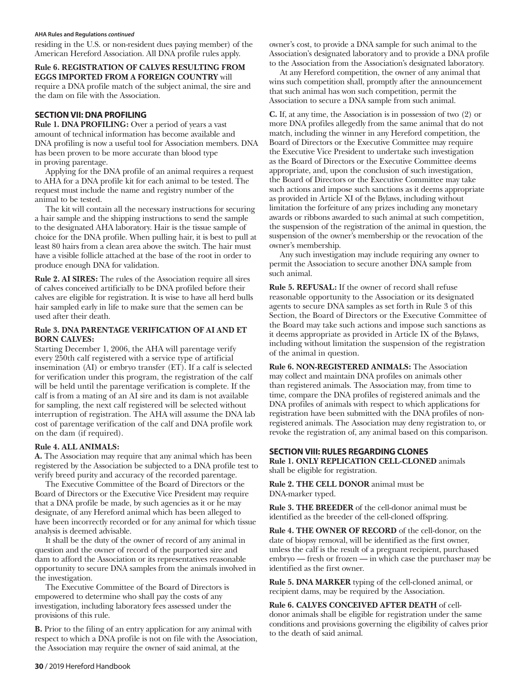#### **AHA Rules and Regulations** *continued*

residing in the U.S. or non-resident dues paying member) of the American Hereford Association. All DNA profile rules apply.

#### **Rule 6. REGISTRATION OF CALVES RESULTING FROM EGGS IMPORTED FROM A FOREIGN COUNTRY** will require a DNA profile match of the subject animal, the sire and the dam on file with the Association.

## **SECTION VII: DNA PROFILING**

**Rule 1. DNA PROFILING:** Over a period of years a vast amount of technical information has become available and DNA profiling is now a useful tool for Association members. DNA has been proven to be more accurate than blood type in proving parentage.

Applying for the DNA profile of an animal requires a request to AHA for a DNA profile kit for each animal to be tested. The request must include the name and registry number of the animal to be tested.

The kit will contain all the necessary instructions for securing a hair sample and the shipping instructions to send the sample to the designated AHA laboratory. Hair is the tissue sample of choice for the DNA profile. When pulling hair, it is best to pull at least 80 hairs from a clean area above the switch. The hair must have a visible follicle attached at the base of the root in order to produce enough DNA for validation.

**Rule 2. AI SIRES:** The rules of the Association require all sires of calves conceived artificially to be DNA profiled before their calves are eligible for registration. It is wise to have all herd bulls hair sampled early in life to make sure that the semen can be used after their death.

#### **Rule 3. DNA PARENTAGE VERIFICATION OF AI AND ET BORN CALVES:**

Starting December 1, 2006, the AHA will parentage verify every 250th calf registered with a service type of artificial insemination (AI) or embryo transfer (ET). If a calf is selected for verification under this program, the registration of the calf will be held until the parentage verification is complete. If the calf is from a mating of an AI sire and its dam is not available for sampling, the next calf registered will be selected without interruption of registration. The AHA will assume the DNA lab cost of parentage verification of the calf and DNA profile work on the dam (if required).

## **Rule 4. ALL ANIMALS:**

**A.** The Association may require that any animal which has been registered by the Association be subjected to a DNA profile test to verify breed purity and accuracy of the recorded parentage.

The Executive Committee of the Board of Directors or the Board of Directors or the Executive Vice President may require that a DNA profile be made, by such agencies as it or he may designate, of any Hereford animal which has been alleged to have been incorrectly recorded or for any animal for which tissue analysis is deemed advisable.

It shall be the duty of the owner of record of any animal in question and the owner of record of the purported sire and dam to afford the Association or its representatives reasonable opportunity to secure DNA samples from the animals involved in the investigation.

The Executive Committee of the Board of Directors is empowered to determine who shall pay the costs of any investigation, including laboratory fees assessed under the provisions of this rule.

**B.** Prior to the filing of an entry application for any animal with respect to which a DNA profile is not on file with the Association, the Association may require the owner of said animal, at the

owner's cost, to provide a DNA sample for such animal to the Association's designated laboratory and to provide a DNA profile to the Association from the Association's designated laboratory.

At any Hereford competition, the owner of any animal that wins such competition shall, promptly after the announcement that such animal has won such competition, permit the Association to secure a DNA sample from such animal.

**C.** If, at any time, the Association is in possession of two (2) or more DNA profiles allegedly from the same animal that do not match, including the winner in any Hereford competition, the Board of Directors or the Executive Committee may require the Executive Vice President to undertake such investigation as the Board of Directors or the Executive Committee deems appropriate, and, upon the conclusion of such investigation, the Board of Directors or the Executive Committee may take such actions and impose such sanctions as it deems appropriate as provided in Article XI of the Bylaws, including without limitation the forfeiture of any prizes including any monetary awards or ribbons awarded to such animal at such competition, the suspension of the registration of the animal in question, the suspension of the owner's membership or the revocation of the owner's membership.

Any such investigation may include requiring any owner to permit the Association to secure another DNA sample from such animal.

**Rule 5. REFUSAL:** If the owner of record shall refuse reasonable opportunity to the Association or its designated agents to secure DNA samples as set forth in Rule 3 of this Section, the Board of Directors or the Executive Committee of the Board may take such actions and impose such sanctions as it deems appropriate as provided in Article IX of the Bylaws, including without limitation the suspension of the registration of the animal in question.

**Rule 6. NON-REGISTERED ANIMALS:** The Association may collect and maintain DNA profiles on animals other than registered animals. The Association may, from time to time, compare the DNA profiles of registered animals and the DNA profiles of animals with respect to which applications for registration have been submitted with the DNA profiles of nonregistered animals. The Association may deny registration to, or revoke the registration of, any animal based on this comparison.

## **SECTION VIII: RULES REGARDING CLONES**

**Rule 1. ONLY REPLICATION CELL-CLONED** animals shall be eligible for registration.

**Rule 2. THE CELL DONOR** animal must be DNA-marker typed.

**Rule 3. THE BREEDER** of the cell-donor animal must be identified as the breeder of the cell-cloned offspring.

**Rule 4. THE OWNER OF RECORD** of the cell-donor, on the date of biopsy removal, will be identified as the first owner, unless the calf is the result of a pregnant recipient, purchased embryo — fresh or frozen — in which case the purchaser may be identified as the first owner.

**Rule 5. DNA MARKER** typing of the cell-cloned animal, or recipient dams, may be required by the Association.

**Rule 6. CALVES CONCEIVED AFTER DEATH** of celldonor animals shall be eligible for registration under the same conditions and provisions governing the eligibility of calves prior to the death of said animal.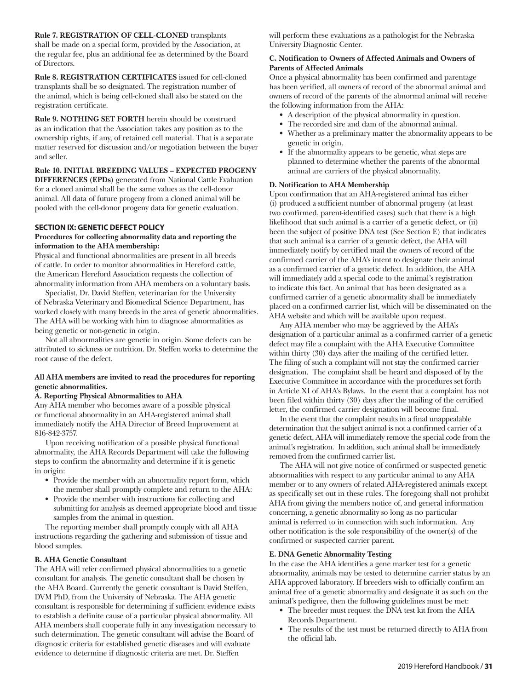**Rule 7. REGISTRATION OF CELL-CLONED** transplants shall be made on a special form, provided by the Association, at the regular fee, plus an additional fee as determined by the Board of Directors.

**Rule 8. REGISTRATION CERTIFICATES** issued for cell-cloned transplants shall be so designated. The registration number of the animal, which is being cell-cloned shall also be stated on the registration certificate.

**Rule 9. NOTHING SET FORTH** herein should be construed as an indication that the Association takes any position as to the ownership rights, if any, of retained cell material. That is a separate matter reserved for discussion and/or negotiation between the buyer and seller.

#### **Rule 10. INITIAL BREEDING VALUES – EXPECTED PROGENY**

**DIFFERENCES (EPDs)** generated from National Cattle Evaluation for a cloned animal shall be the same values as the cell-donor animal. All data of future progeny from a cloned animal will be pooled with the cell-donor progeny data for genetic evaluation.

#### **SECTION IX: GENETIC DEFECT POLICY**

#### **Procedures for collecting abnormality data and reporting the information to the AHA membership:**

Physical and functional abnormalities are present in all breeds of cattle. In order to monitor abnormalities in Hereford cattle, the American Hereford Association requests the collection of abnormality information from AHA members on a voluntary basis.

Specialist, Dr. David Steffen, veterinarian for the University of Nebraska Veterinary and Biomedical Science Department, has worked closely with many breeds in the area of genetic abnormalities. The AHA will be working with him to diagnose abnormalities as being genetic or non-genetic in origin.

Not all abnormalities are genetic in origin. Some defects can be attributed to sickness or nutrition. Dr. Steffen works to determine the root cause of the defect.

#### **All AHA members are invited to read the procedures for reporting genetic abnormalities.**

#### **A. Reporting Physical Abnormalities to AHA**

Any AHA member who becomes aware of a possible physical or functional abnormality in an AHA-registered animal shall immediately notify the AHA Director of Breed Improvement at 816-842-3757.

Upon receiving notification of a possible physical functional abnormality, the AHA Records Department will take the following steps to confirm the abnormality and determine if it is genetic in origin:

- **•** Provide the member with an abnormality report form, which the member shall promptly complete and return to the AHA:
- **•** Provide the member with instructions for collecting and submitting for analysis as deemed appropriate blood and tissue samples from the animal in question.

The reporting member shall promptly comply with all AHA instructions regarding the gathering and submission of tissue and blood samples.

#### **B. AHA Genetic Consultant**

The AHA will refer confirmed physical abnormalities to a genetic consultant for analysis. The genetic consultant shall be chosen by the AHA Board. Currently the genetic consultant is David Steffen, DVM PhD, from the University of Nebraska. The AHA genetic consultant is responsible for determining if sufficient evidence exists to establish a definite cause of a particular physical abnormality. All AHA members shall cooperate fully in any investigation necessary to such determination. The genetic consultant will advise the Board of diagnostic criteria for established genetic diseases and will evaluate evidence to determine if diagnostic criteria are met. Dr. Steffen

will perform these evaluations as a pathologist for the Nebraska University Diagnostic Center.

#### **C. Notification to Owners of Affected Animals and Owners of Parents of Affected Animals**

Once a physical abnormality has been confirmed and parentage has been verified, all owners of record of the abnormal animal and owners of record of the parents of the abnormal animal will receive the following information from the AHA:

- **•** A description of the physical abnormality in question.
- **•** The recorded sire and dam of the abnormal animal.
- **•** Whether as a preliminary matter the abnormality appears to be genetic in origin.
- **•** If the abnormality appears to be genetic, what steps are planned to determine whether the parents of the abnormal animal are carriers of the physical abnormality.

#### **D. Notification to AHA Membership**

Upon confirmation that an AHA-registered animal has either (i) produced a sufficient number of abnormal progeny (at least two confirmed, parent-identified cases) such that there is a high likelihood that such animal is a carrier of a genetic defect, or (ii) been the subject of positive DNA test (See Section E) that indicates that such animal is a carrier of a genetic defect, the AHA will immediately notify by certified mail the owners of record of the confirmed carrier of the AHA's intent to designate their animal as a confirmed carrier of a genetic defect. In addition, the AHA will immediately add a special code to the animal's registration to indicate this fact. An animal that has been designated as a confirmed carrier of a genetic abnormality shall be immediately placed on a confirmed carrier list, which will be disseminated on the AHA website and which will be available upon request.

Any AHA member who may be aggrieved by the AHA's designation of a particular animal as a confirmed carrier of a genetic defect may file a complaint with the AHA Executive Committee within thirty (30) days after the mailing of the certified letter. The filing of such a complaint will not stay the confirmed carrier designation. The complaint shall be heard and disposed of by the Executive Committee in accordance with the procedures set forth in Article XI of AHA's Bylaws. In the event that a complaint has not been filed within thirty (30) days after the mailing of the certified letter, the confirmed carrier designation will become final.

In the event that the complaint results in a final unappealable determination that the subject animal is not a confirmed carrier of a genetic defect, AHA will immediately remove the special code from the animal's registration. In addition, such animal shall be immediately removed from the confirmed carrier list.

The AHA will not give notice of confirmed or suspected genetic abnormalities with respect to any particular animal to any AHA member or to any owners of related AHA-registered animals except as specifically set out in these rules. The foregoing shall not prohibit AHA from giving the members notice of, and general information concerning, a genetic abnormality so long as no particular animal is referred to in connection with such information. Any other notification is the sole responsibility of the owner(s) of the confirmed or suspected carrier parent.

#### **E. DNA Genetic Abnormality Testing**

In the case the AHA identifies a gene marker test for a genetic abnormality, animals may be tested to determine carrier status by an AHA approved laboratory. If breeders wish to officially confirm an animal free of a genetic abnormality and designate it as such on the animal's pedigree, then the following guidelines must be met:

- **•** The breeder must request the DNA test kit from the AHA Records Department.
- **•** The results of the test must be returned directly to AHA from the official lab.